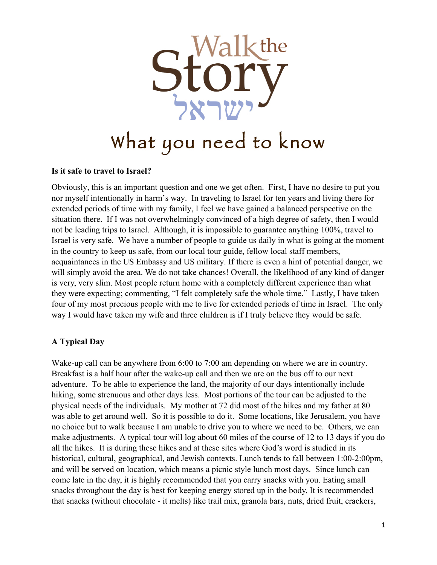

#### **Is it safe to travel to Israel?**

Obviously, this is an important question and one we get often. First, I have no desire to put you nor myself intentionally in harm's way. In traveling to Israel for ten years and living there for extended periods of time with my family, I feel we have gained a balanced perspective on the situation there. If I was not overwhelmingly convinced of a high degree of safety, then I would not be leading trips to Israel. Although, it is impossible to guarantee anything 100%, travel to Israel is very safe. We have a number of people to guide us daily in what is going at the moment in the country to keep us safe, from our local tour guide, fellow local staff members, acquaintances in the US Embassy and US military. If there is even a hint of potential danger, we will simply avoid the area. We do not take chances! Overall, the likelihood of any kind of danger is very, very slim. Most people return home with a completely different experience than what they were expecting; commenting, "I felt completely safe the whole time." Lastly, I have taken four of my most precious people with me to live for extended periods of time in Israel. The only way I would have taken my wife and three children is if I truly believe they would be safe.

# **A Typical Day**

Wake-up call can be anywhere from 6:00 to 7:00 am depending on where we are in country. Breakfast is a half hour after the wake-up call and then we are on the bus off to our next adventure. To be able to experience the land, the majority of our days intentionally include hiking, some strenuous and other days less. Most portions of the tour can be adjusted to the physical needs of the individuals. My mother at 72 did most of the hikes and my father at 80 was able to get around well. So it is possible to do it. Some locations, like Jerusalem, you have no choice but to walk because I am unable to drive you to where we need to be. Others, we can make adjustments. A typical tour will log about 60 miles of the course of 12 to 13 days if you do all the hikes. It is during these hikes and at these sites where God's word is studied in its historical, cultural, geographical, and Jewish contexts. Lunch tends to fall between 1:00-2:00pm, and will be served on location, which means a picnic style lunch most days. Since lunch can come late in the day, it is highly recommended that you carry snacks with you. Eating small snacks throughout the day is best for keeping energy stored up in the body. It is recommended that snacks (without chocolate - it melts) like trail mix, granola bars, nuts, dried fruit, crackers,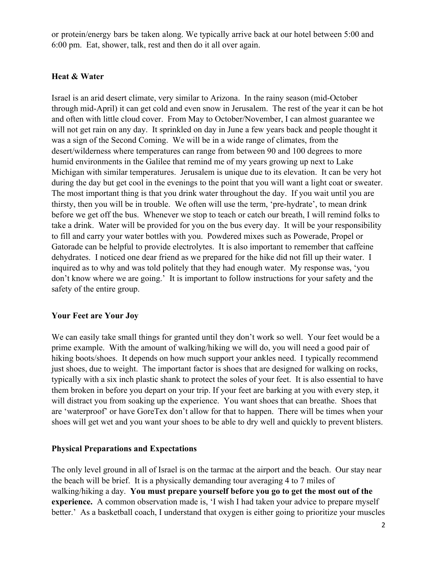or protein/energy bars be taken along. We typically arrive back at our hotel between 5:00 and 6:00 pm. Eat, shower, talk, rest and then do it all over again.

### **Heat & Water**

Israel is an arid desert climate, very similar to Arizona. In the rainy season (mid-October through mid-April) it can get cold and even snow in Jerusalem. The rest of the year it can be hot and often with little cloud cover. From May to October/November, I can almost guarantee we will not get rain on any day. It sprinkled on day in June a few years back and people thought it was a sign of the Second Coming. We will be in a wide range of climates, from the desert/wilderness where temperatures can range from between 90 and 100 degrees to more humid environments in the Galilee that remind me of my years growing up next to Lake Michigan with similar temperatures. Jerusalem is unique due to its elevation. It can be very hot during the day but get cool in the evenings to the point that you will want a light coat or sweater. The most important thing is that you drink water throughout the day. If you wait until you are thirsty, then you will be in trouble. We often will use the term, 'pre-hydrate', to mean drink before we get off the bus. Whenever we stop to teach or catch our breath, I will remind folks to take a drink. Water will be provided for you on the bus every day. It will be your responsibility to fill and carry your water bottles with you. Powdered mixes such as Powerade, Propel or Gatorade can be helpful to provide electrolytes. It is also important to remember that caffeine dehydrates. I noticed one dear friend as we prepared for the hike did not fill up their water. I inquired as to why and was told politely that they had enough water. My response was, 'you don't know where we are going.' It is important to follow instructions for your safety and the safety of the entire group.

### **Your Feet are Your Joy**

We can easily take small things for granted until they don't work so well. Your feet would be a prime example. With the amount of walking/hiking we will do, you will need a good pair of hiking boots/shoes. It depends on how much support your ankles need. I typically recommend just shoes, due to weight. The important factor is shoes that are designed for walking on rocks, typically with a six inch plastic shank to protect the soles of your feet. It is also essential to have them broken in before you depart on your trip. If your feet are barking at you with every step, it will distract you from soaking up the experience. You want shoes that can breathe. Shoes that are 'waterproof' or have GoreTex don't allow for that to happen. There will be times when your shoes will get wet and you want your shoes to be able to dry well and quickly to prevent blisters.

### **Physical Preparations and Expectations**

The only level ground in all of Israel is on the tarmac at the airport and the beach. Our stay near the beach will be brief. It is a physically demanding tour averaging 4 to 7 miles of walking/hiking a day. **You must prepare yourself before you go to get the most out of the experience.** A common observation made is, 'I wish I had taken your advice to prepare myself better.' As a basketball coach, I understand that oxygen is either going to prioritize your muscles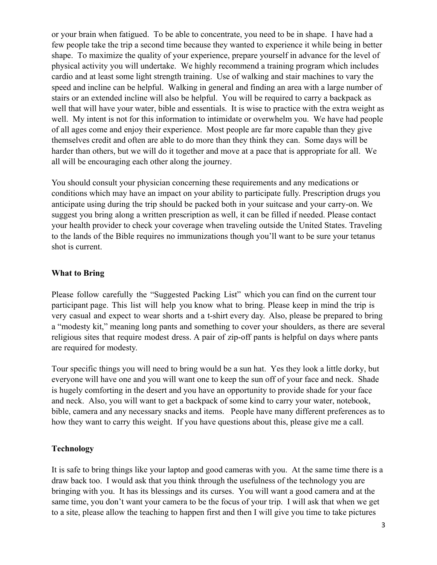or your brain when fatigued. To be able to concentrate, you need to be in shape. I have had a few people take the trip a second time because they wanted to experience it while being in better shape. To maximize the quality of your experience, prepare yourself in advance for the level of physical activity you will undertake. We highly recommend a training program which includes cardio and at least some light strength training. Use of walking and stair machines to vary the speed and incline can be helpful. Walking in general and finding an area with a large number of stairs or an extended incline will also be helpful. You will be required to carry a backpack as well that will have your water, bible and essentials. It is wise to practice with the extra weight as well. My intent is not for this information to intimidate or overwhelm you. We have had people of all ages come and enjoy their experience. Most people are far more capable than they give themselves credit and often are able to do more than they think they can. Some days will be harder than others, but we will do it together and move at a pace that is appropriate for all. We all will be encouraging each other along the journey.

You should consult your physician concerning these requirements and any medications or conditions which may have an impact on your ability to participate fully. Prescription drugs you anticipate using during the trip should be packed both in your suitcase and your carry-on. We suggest you bring along a written prescription as well, it can be filled if needed. Please contact your health provider to check your coverage when traveling outside the United States. Traveling to the lands of the Bible requires no immunizations though you'll want to be sure your tetanus shot is current.

### **What to Bring**

Please follow carefully the "Suggested Packing List" which you can find on the current tour participant page. This list will help you know what to bring. Please keep in mind the trip is very casual and expect to wear shorts and a t-shirt every day. Also, please be prepared to bring a "modesty kit," meaning long pants and something to cover your shoulders, as there are several religious sites that require modest dress. A pair of zip-off pants is helpful on days where pants are required for modesty.

Tour specific things you will need to bring would be a sun hat. Yes they look a little dorky, but everyone will have one and you will want one to keep the sun off of your face and neck. Shade is hugely comforting in the desert and you have an opportunity to provide shade for your face and neck. Also, you will want to get a backpack of some kind to carry your water, notebook, bible, camera and any necessary snacks and items. People have many different preferences as to how they want to carry this weight. If you have questions about this, please give me a call.

### **Technology**

It is safe to bring things like your laptop and good cameras with you. At the same time there is a draw back too. I would ask that you think through the usefulness of the technology you are bringing with you. It has its blessings and its curses. You will want a good camera and at the same time, you don't want your camera to be the focus of your trip. I will ask that when we get to a site, please allow the teaching to happen first and then I will give you time to take pictures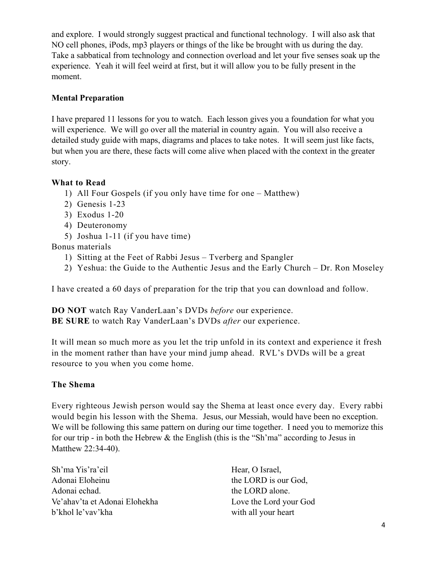and explore. I would strongly suggest practical and functional technology. I will also ask that NO cell phones, iPods, mp3 players or things of the like be brought with us during the day. Take a sabbatical from technology and connection overload and let your five senses soak up the experience. Yeah it will feel weird at first, but it will allow you to be fully present in the moment.

### **Mental Preparation**

I have prepared 11 lessons for you to watch. Each lesson gives you a foundation for what you will experience. We will go over all the material in country again. You will also receive a detailed study guide with maps, diagrams and places to take notes. It will seem just like facts, but when you are there, these facts will come alive when placed with the context in the greater story.

### **What to Read**

- 1) All Four Gospels (if you only have time for one Matthew)
- 2) Genesis 1-23
- 3) Exodus 1-20
- 4) Deuteronomy
- 5) Joshua 1-11 (if you have time)

Bonus materials

- 1) Sitting at the Feet of Rabbi Jesus Tverberg and Spangler
- 2) Yeshua: the Guide to the Authentic Jesus and the Early Church Dr. Ron Moseley

I have created a 60 days of preparation for the trip that you can download and follow.

**DO NOT** watch Ray VanderLaan's DVDs *before* our experience. **BE SURE** to watch Ray VanderLaan's DVDs *after* our experience.

It will mean so much more as you let the trip unfold in its context and experience it fresh in the moment rather than have your mind jump ahead. RVL's DVDs will be a great resource to you when you come home.

# **The Shema**

Every righteous Jewish person would say the Shema at least once every day. Every rabbi would begin his lesson with the Shema. Jesus, our Messiah, would have been no exception. We will be following this same pattern on during our time together. I need you to memorize this for our trip - in both the Hebrew  $\&$  the English (this is the "Sh'ma" according to Jesus in Matthew 22:34-40).

Sh'ma Yis'ra'eil Hear, O Israel, Adonai Eloheinu the LORD is our God, Adonai echad. the LORD alone. Ve'ahav'ta et Adonai Elohekha Love the Lord your God b'khol le'vav'kha with all your heart